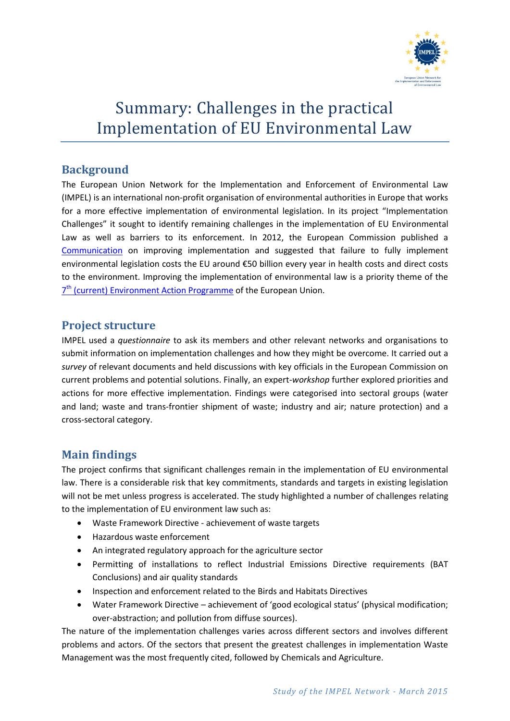

# Summary: Challenges in the practical Implementation of EU Environmental Law

## **Background**

The European Union Network for the Implementation and Enforcement of Environmental Law (IMPEL) is an international non-profit organisation of environmental authorities in Europe that works for a more effective implementation of environmental legislation. In its project "Implementation Challenges" it sought to identify remaining challenges in the implementation of EU Environmental Law as well as barriers to its enforcement. In 2012, the European Commission published a [Communication](http://eur-lex.europa.eu/legal-content/EN/TXT/PDF/?uri=CELEX:52012DC0095&from=EN) on improving implementation and suggested that failure to fully implement environmental legislation costs the EU around €50 billion every year in health costs and direct costs to the environment. Improving the implementation of environmental law is a priority theme of the 7<sup>th</sup> [\(current\) Environment Action Programme](http://ec.europa.eu/environment/newprg/) of the European Union.

### **Project structure**

IMPEL used a *questionnaire* to ask its members and other relevant networks and organisations to submit information on implementation challenges and how they might be overcome. It carried out a *survey* of relevant documents and held discussions with key officials in the European Commission on current problems and potential solutions. Finally, an expert-*workshop* further explored priorities and actions for more effective implementation. Findings were categorised into sectoral groups (water and land; waste and trans-frontier shipment of waste; industry and air; nature protection) and a cross-sectoral category.

## **Main findings**

The project confirms that significant challenges remain in the implementation of EU environmental law. There is a considerable risk that key commitments, standards and targets in existing legislation will not be met unless progress is accelerated. The study highlighted a number of challenges relating to the implementation of EU environment law such as:

- Waste Framework Directive achievement of waste targets
- Hazardous waste enforcement
- An integrated regulatory approach for the agriculture sector
- Permitting of installations to reflect Industrial Emissions Directive requirements (BAT Conclusions) and air quality standards
- Inspection and enforcement related to the Birds and Habitats Directives
- Water Framework Directive achievement of 'good ecological status' (physical modification; over-abstraction; and pollution from diffuse sources).

The nature of the implementation challenges varies across different sectors and involves different problems and actors. Of the sectors that present the greatest challenges in implementation Waste Management was the most frequently cited, followed by Chemicals and Agriculture.